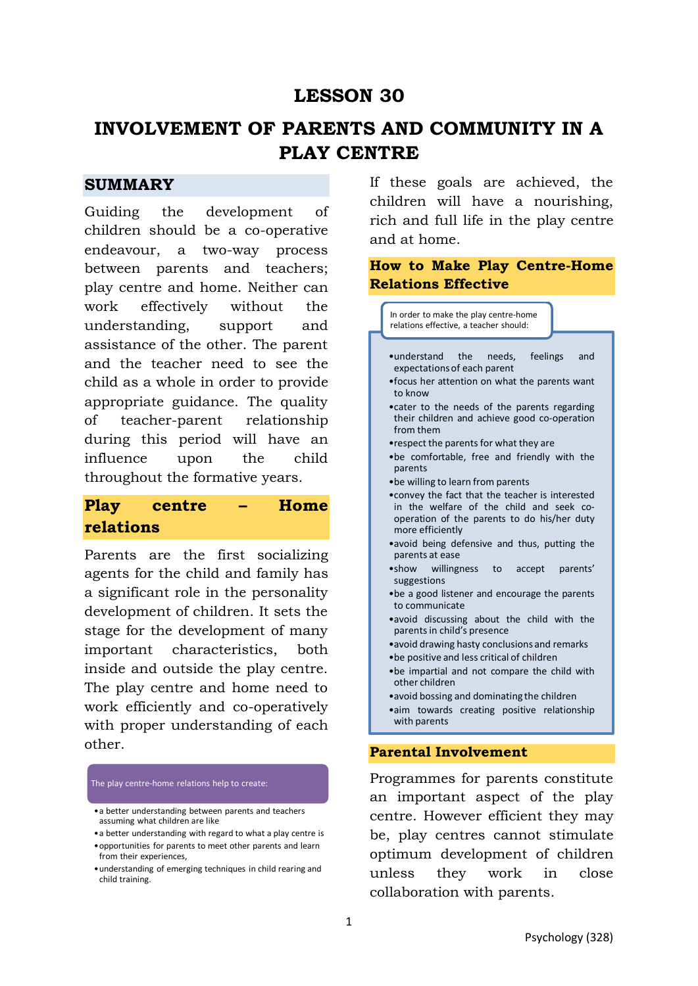## **LESSON 30**

# **INVOLVEMENT OF PARENTS AND COMMUNITY IN A PLAY CENTRE**

## **SUMMARY**

Guiding the development of children should be a co-operative endeavour, a two-way process between parents and teachers; play centre and home. Neither can work effectively without the understanding, support and assistance of the other. The parent and the teacher need to see the child as a whole in order to provide appropriate guidance. The quality of teacher-parent relationship during this period will have an influence upon the child throughout the formative years.

## **Play centre – Home relations**

Parents are the first socializing agents for the child and family has a significant role in the personality development of children. It sets the stage for the development of many important characteristics, both inside and outside the play centre. The play centre and home need to work efficiently and co-operatively with proper understanding of each other.

The play centre-home relations help to create:

- •a better understanding between parents and teachers assuming what children are like
- •a better understanding with regard to what a play centre is
- •opportunities for parents to meet other parents and learn from their experiences,
- •understanding of emerging techniques in child rearing and child training.

If these goals are achieved, the children will have a nourishing, rich and full life in the play centre and at home.

## **How to Make Play Centre-Home Relations Effective**



Programmes for parents constitute an important aspect of the play centre. However efficient they may be, play centres cannot stimulate optimum development of children unless they work in close collaboration with parents.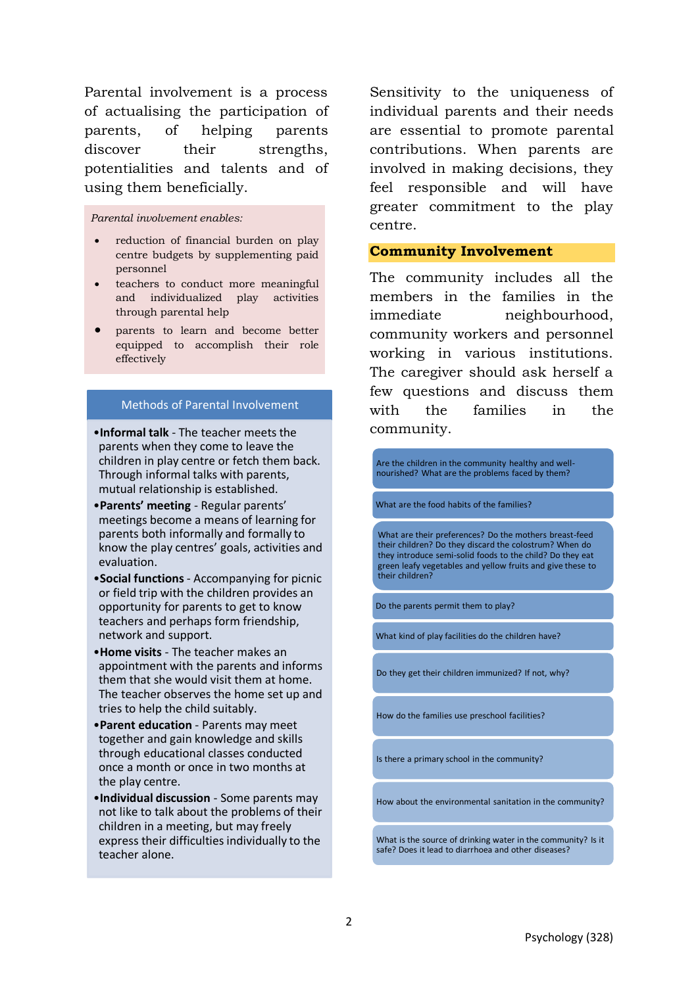Parental involvement is a process of actualising the participation of parents, of helping parents discover their strengths. potentialities and talents and of using them beneficially.

#### *Parental involvement enables:*

- reduction of financial burden on play centre budgets by supplementing paid personnel
- teachers to conduct more meaningful and individualized play activities through parental help
- parents to learn and become better equipped to accomplish their role effectively

#### Methods of Parental Involvement

- •**Informal talk** The teacher meets the parents when they come to leave the children in play centre or fetch them back. Through informal talks with parents, mutual relationship is established.
- •**Parents' meeting** Regular parents' meetings become a means of learning for parents both informally and formally to know the play centres' goals, activities and evaluation.
- •**Social functions** Accompanying for picnic or field trip with the children provides an opportunity for parents to get to know teachers and perhaps form friendship, network and support.
- •**Home visits** The teacher makes an appointment with the parents and informs them that she would visit them at home. The teacher observes the home set up and tries to help the child suitably.
- •**Parent education** Parents may meet together and gain knowledge and skills through educational classes conducted once a month or once in two months at the play centre.
- •**Individual discussion** Some parents may not like to talk about the problems of their children in a meeting, but may freely express their difficulties individually to the teacher alone.

Sensitivity to the uniqueness of individual parents and their needs are essential to promote parental contributions. When parents are involved in making decisions, they feel responsible and will have greater commitment to the play centre.

#### **Community Involvement**

The community includes all the members in the families in the immediate neighbourhood, community workers and personnel working in various institutions. The caregiver should ask herself a few questions and discuss them with the families in the community.

Are the children in the community healthy and wellnourished? What are the problems faced by them?

What are the food habits of the families?

What are their preferences? Do the mothers breast-feed their children? Do they discard the colostrum? When do they introduce semi-solid foods to the child? Do they eat green leafy vegetables and yellow fruits and give these to their children?

Do the parents permit them to play?

What kind of play facilities do the children have?

Do they get their children immunized? If not, why?

How do the families use preschool facilities?

Is there a primary school in the community?

How about the environmental sanitation in the community?

What is the source of drinking water in the community? Is it safe? Does it lead to diarrhoea and other diseases?